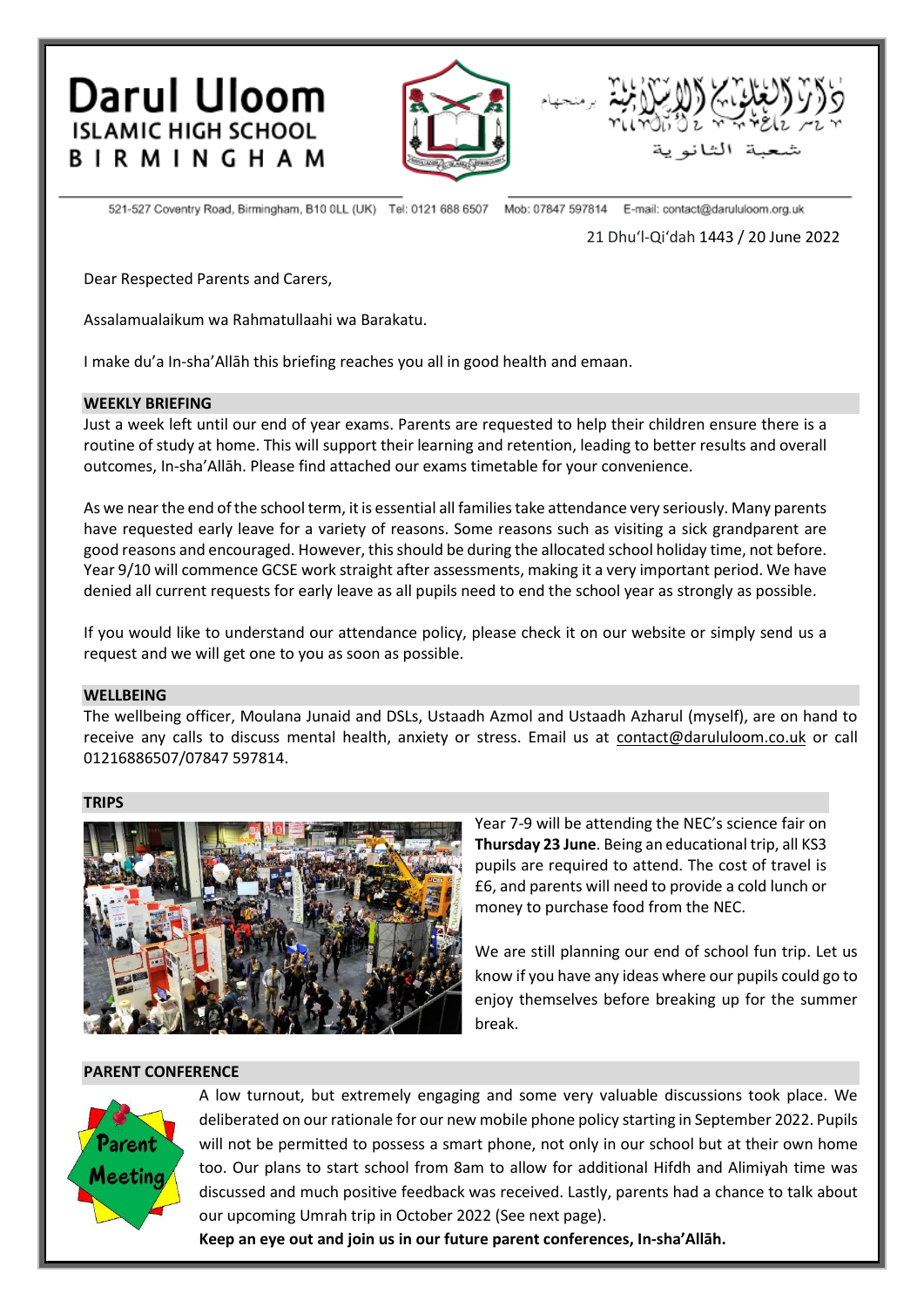**Darul Uloom ISLAMIC HIGH SCHOOL BIRMINGHAM** 





521-527 Coventry Road, Birmingham, B10 OLL (UK) Tel: 0121 688 6507 Mob: 07847 597814 E-mail: contact@darululoom.org.uk

21 Dhuʻl-Qiʻdah 1443 / 20 June 2022

Dear Respected Parents and Carers,

Assalamualaikum wa Rahmatullaahi wa Barakatu.

I make du'a In-sha'Allāh this briefing reaches you all in good health and emaan.

### **WEEKLY BRIEFING**

Just a week left until our end of year exams. Parents are requested to help their children ensure there is a routine of study at home. This will support their learning and retention, leading to better results and overall outcomes, In-sha'Allāh. Please find attached our exams timetable for your convenience.

As we near the end of the school term, it is essential all families take attendance very seriously. Many parents have requested early leave for a variety of reasons. Some reasons such as visiting a sick grandparent are good reasons and encouraged. However, this should be during the allocated school holiday time, not before. Year 9/10 will commence GCSE work straight after assessments, making it a very important period. We have denied all current requests for early leave as all pupils need to end the school year as strongly as possible.

If you would like to understand our attendance policy, please check it on our website or simply send us a request and we will get one to you as soon as possible.

#### **WELLBEING**

The wellbeing officer, Moulana Junaid and DSLs, Ustaadh Azmol and Ustaadh Azharul (myself), are on hand to receive any calls to discuss mental health, anxiety or stress. Email us at [contact@darululoom.co.uk](mailto:contact@darululoom.co.uk) or call 01216886507/07847 597814.

#### **TRIPS**



Year 7-9 will be attending the NEC's science fair on **Thursday 23 June**. Being an educational trip, all KS3 pupils are required to attend. The cost of travel is £6, and parents will need to provide a cold lunch or money to purchase food from the NEC.

We are still planning our end of school fun trip. Let us know if you have any ideas where our pupils could go to enjoy themselves before breaking up for the summer break.

#### **PARENT CONFERENCE**



A low turnout, but extremely engaging and some very valuable discussions took place. We deliberated on our rationale for our new mobile phone policy starting in September 2022. Pupils will not be permitted to possess a smart phone, not only in our school but at their own home too. Our plans to start school from 8am to allow for additional Hifdh and Alimiyah time was discussed and much positive feedback was received. Lastly, parents had a chance to talk about our upcoming Umrah trip in October 2022 (See next page).

**Keep an eye out and join us in our future parent conferences, In-sha'Allāh.**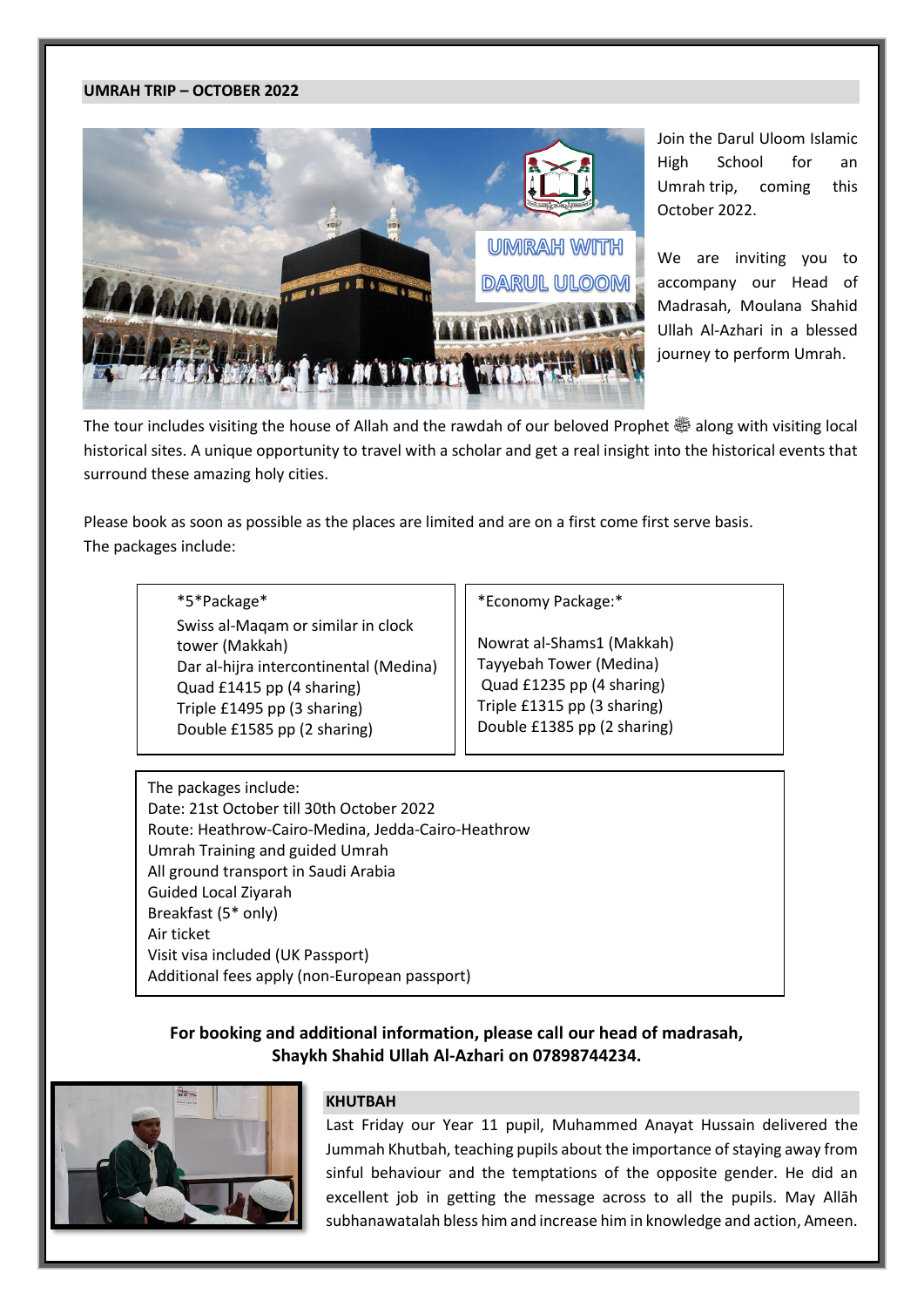# **UMRAH TRIP – OCTOBER 2022**



Join the Darul Uloom Islamic High School for an Umrah trip, coming this October 2022.

We are inviting you to accompany our Head of Madrasah, Moulana Shahid Ullah Al-Azhari in a blessed journey to perform Umrah.

The tour includes visiting the house of Allah and the rawdah of our beloved Prophet  $\ddot{\ddot{\varpi}}$  along with visiting local historical sites. A unique opportunity to travel with a scholar and get a real insight into the historical events that surround these amazing holy cities.

Please book as soon as possible as the places are limited and are on a first come first serve basis. The packages include:

> \*5\*Package\* Swiss al-Maqam or similar in clock tower (Makkah) Dar al-hijra intercontinental (Medina) Quad £1415 pp (4 sharing) Triple £1495 pp (3 sharing) Double £1585 pp (2 sharing)

\*Economy Package:\*

Nowrat al-Shams1 (Makkah) Tayyebah Tower (Medina) Quad £1235 pp (4 sharing) Triple £1315 pp (3 sharing) Double £1385 pp (2 sharing)

The packages include: Date: 21st October till 30th October 2022 Route: Heathrow-Cairo-Medina, Jedda-Cairo-Heathrow Umrah Training and guided Umrah All ground transport in Saudi Arabia Guided Local Ziyarah Breakfast (5\* only) Air ticket Visit visa included (UK Passport) Additional fees apply (non-European passport)

# **For booking and additional information, please call our head of madrasah, Shaykh Shahid Ullah Al-Azhari on 07898744234.**



# **KHUTBAH**

Last Friday our Year 11 pupil, Muhammed Anayat Hussain delivered the Jummah Khutbah, teaching pupils about the importance of staying away from sinful behaviour and the temptations of the opposite gender. He did an excellent job in getting the message across to all the pupils. May Allāh subhanawatalah bless him and increase him in knowledge and action, Ameen.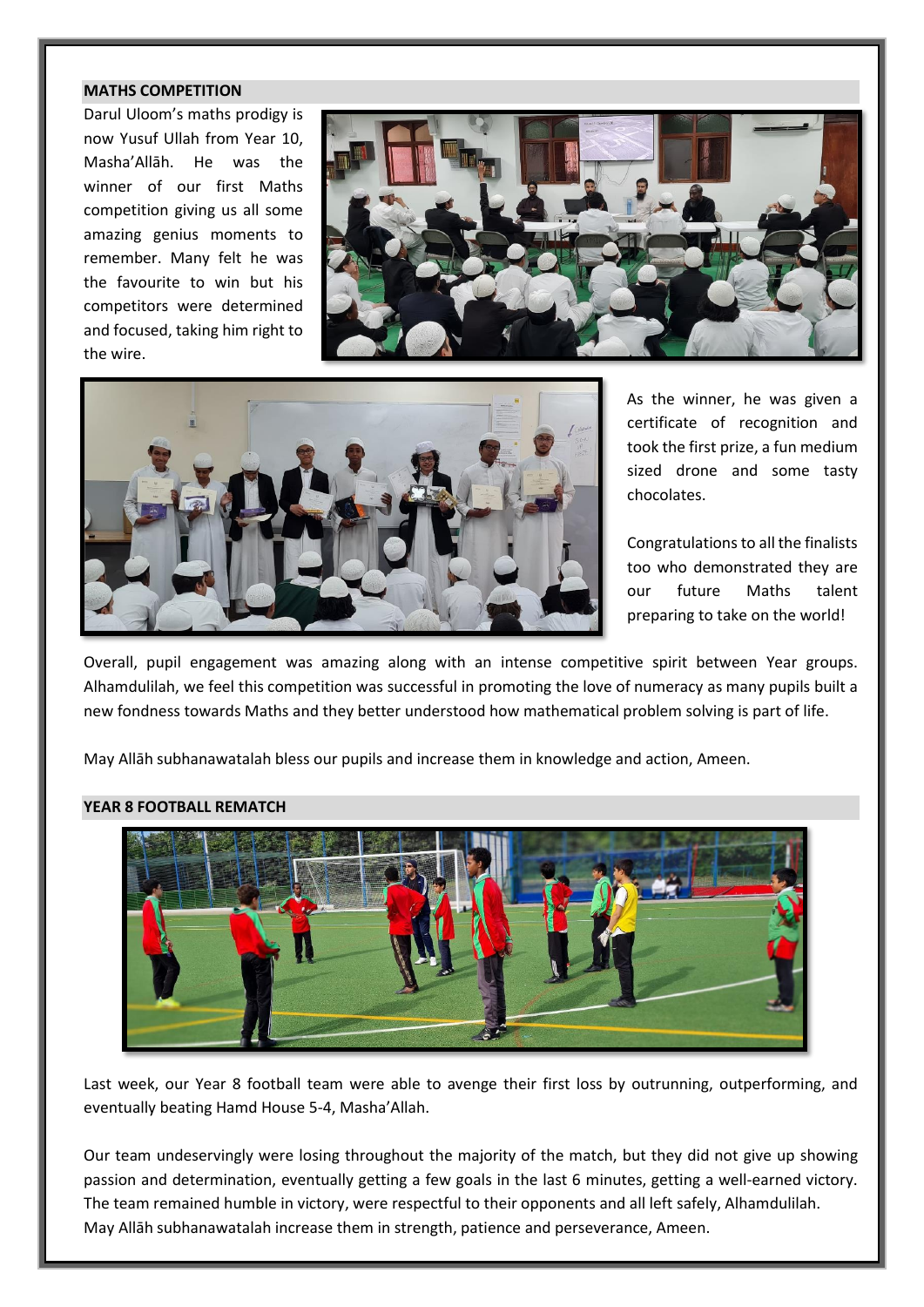# **MATHS COMPETITION**

Darul Uloom's maths prodigy is now Yusuf Ullah from Year 10, Masha'Allāh. He was the winner of our first Maths competition giving us all some amazing genius moments to remember. Many felt he was the favourite to win but his competitors were determined and focused, taking him right to the wire.





As the winner, he was given a certificate of recognition and took the first prize, a fun medium sized drone and some tasty chocolates.

Congratulations to all the finalists too who demonstrated they are our future Maths talent preparing to take on the world!

Overall, pupil engagement was amazing along with an intense competitive spirit between Year groups. Alhamdulilah, we feel this competition was successful in promoting the love of numeracy as many pupils built a new fondness towards Maths and they better understood how mathematical problem solving is part of life.

May Allāh subhanawatalah bless our pupils and increase them in knowledge and action, Ameen.

#### **YEAR 8 FOOTBALL REMATCH**



Last week, our Year 8 football team were able to avenge their first loss by outrunning, outperforming, and eventually beating Hamd House 5-4, Masha'Allah.

Our team undeservingly were losing throughout the majority of the match, but they did not give up showing passion and determination, eventually getting a few goals in the last 6 minutes, getting a well-earned victory. The team remained humble in victory, were respectful to their opponents and all left safely, Alhamdulilah. May Allāh subhanawatalah increase them in strength, patience and perseverance, Ameen.